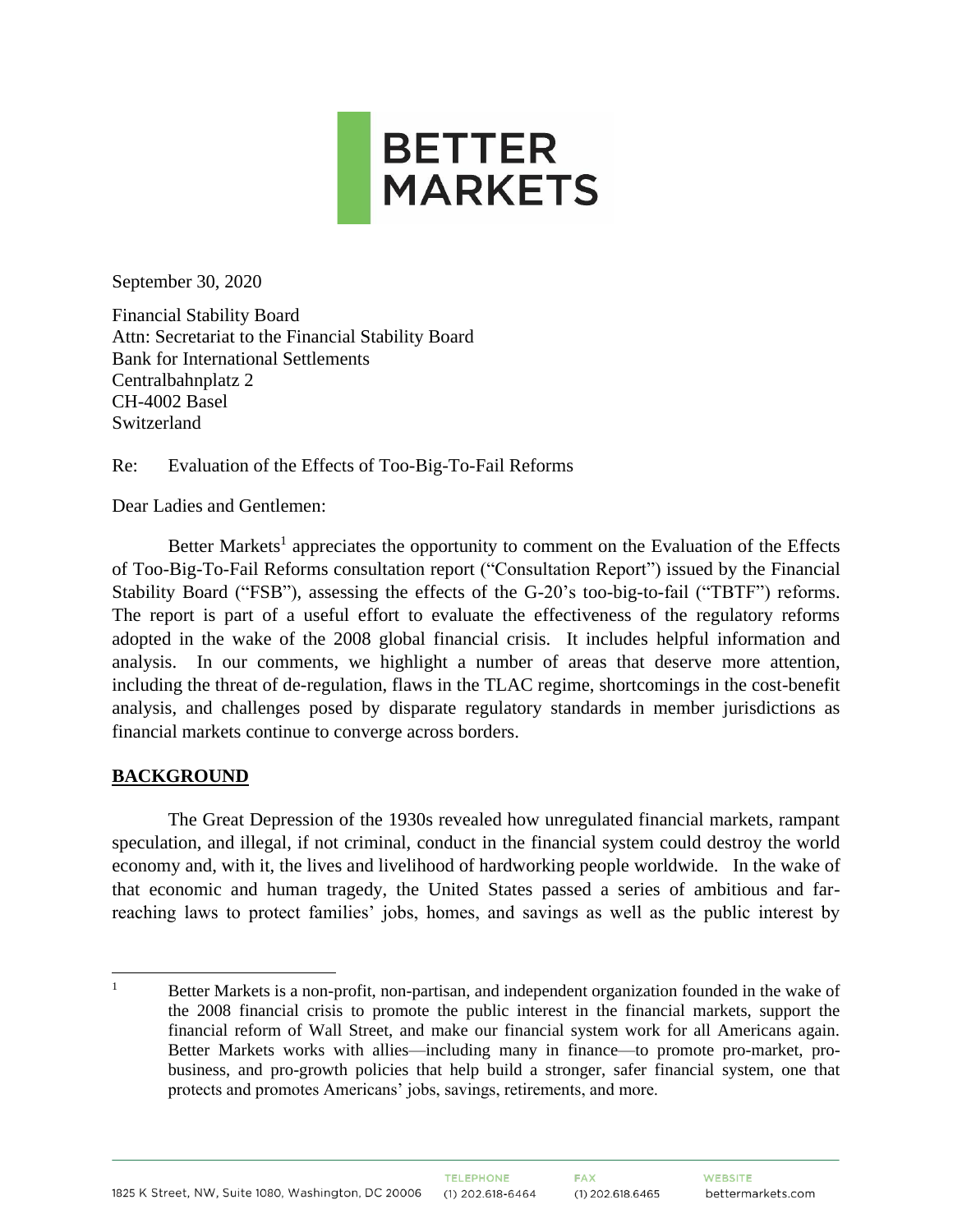

September 30, 2020

Financial Stability Board Attn: Secretariat to the Financial Stability Board Bank for International Settlements Centralbahnplatz 2 CH-4002 Basel Switzerland

Re: Evaluation of the Effects of Too-Big-To-Fail Reforms

Dear Ladies and Gentlemen:

Better Markets<sup>1</sup> appreciates the opportunity to comment on the Evaluation of the Effects of Too-Big-To-Fail Reforms consultation report ("Consultation Report") issued by the Financial Stability Board ("FSB"), assessing the effects of the G-20's too-big-to-fail ("TBTF") reforms. The report is part of a useful effort to evaluate the effectiveness of the regulatory reforms adopted in the wake of the 2008 global financial crisis. It includes helpful information and analysis. In our comments, we highlight a number of areas that deserve more attention, including the threat of de-regulation, flaws in the TLAC regime, shortcomings in the cost-benefit analysis, and challenges posed by disparate regulatory standards in member jurisdictions as financial markets continue to converge across borders.

#### **BACKGROUND**

The Great Depression of the 1930s revealed how unregulated financial markets, rampant speculation, and illegal, if not criminal, conduct in the financial system could destroy the world economy and, with it, the lives and livelihood of hardworking people worldwide. In the wake of that economic and human tragedy, the United States passed a series of ambitious and farreaching laws to protect families' jobs, homes, and savings as well as the public interest by

<sup>&</sup>lt;sup>1</sup> Better Markets is a non-profit, non-partisan, and independent organization founded in the wake of the 2008 financial crisis to promote the public interest in the financial markets, support the financial reform of Wall Street, and make our financial system work for all Americans again. Better Markets works with allies—including many in finance—to promote pro-market, probusiness, and pro-growth policies that help build a stronger, safer financial system, one that protects and promotes Americans' jobs, savings, retirements, and more.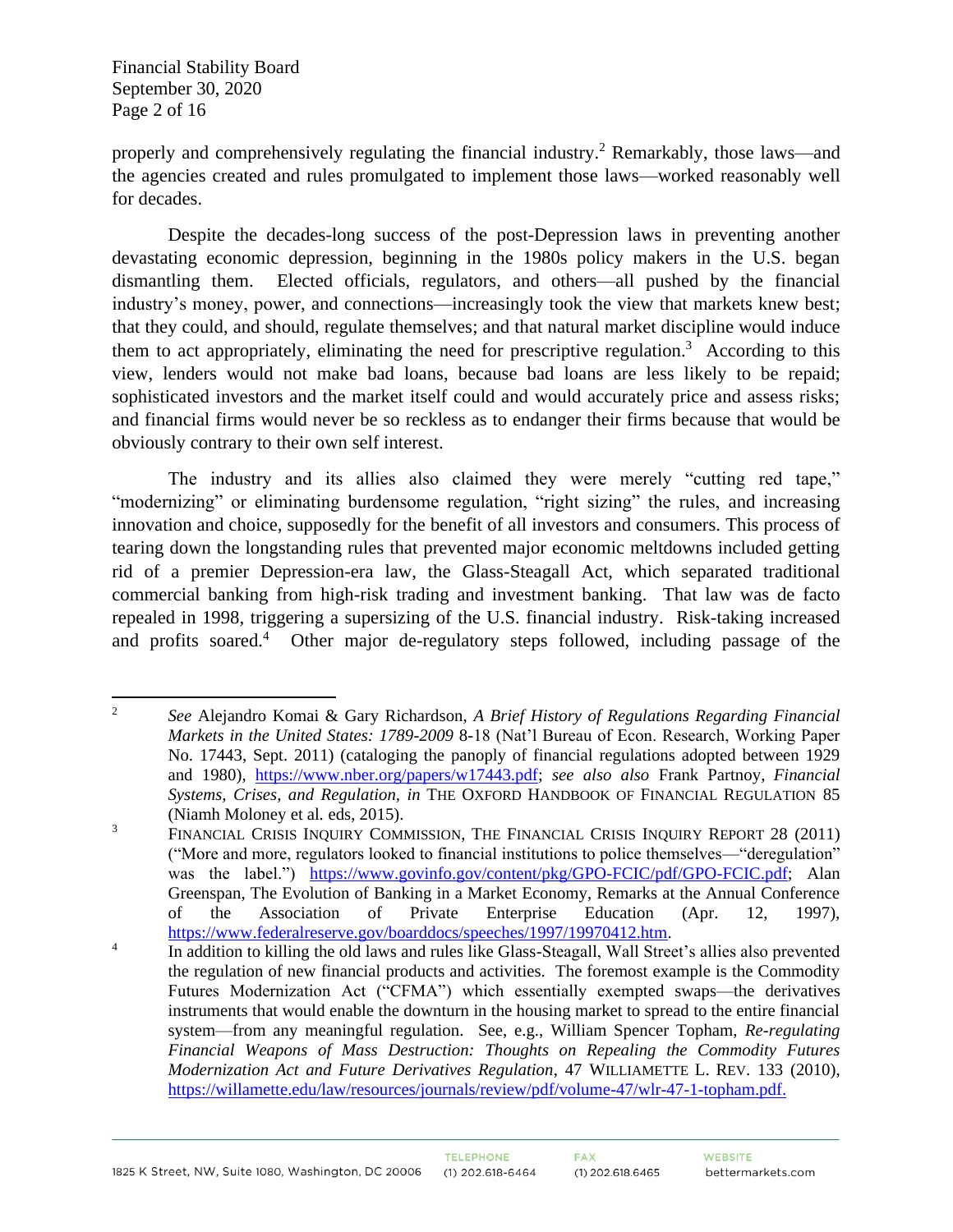Financial Stability Board September 30, 2020 Page 2 of 16

properly and comprehensively regulating the financial industry.<sup>2</sup> Remarkably, those laws—and the agencies created and rules promulgated to implement those laws—worked reasonably well for decades.

Despite the decades-long success of the post-Depression laws in preventing another devastating economic depression, beginning in the 1980s policy makers in the U.S. began dismantling them. Elected officials, regulators, and others—all pushed by the financial industry's money, power, and connections—increasingly took the view that markets knew best; that they could, and should, regulate themselves; and that natural market discipline would induce them to act appropriately, eliminating the need for prescriptive regulation.<sup>3</sup> According to this view, lenders would not make bad loans, because bad loans are less likely to be repaid; sophisticated investors and the market itself could and would accurately price and assess risks; and financial firms would never be so reckless as to endanger their firms because that would be obviously contrary to their own self interest.

The industry and its allies also claimed they were merely "cutting red tape," "modernizing" or eliminating burdensome regulation, "right sizing" the rules, and increasing innovation and choice, supposedly for the benefit of all investors and consumers. This process of tearing down the longstanding rules that prevented major economic meltdowns included getting rid of a premier Depression-era law, the Glass-Steagall Act, which separated traditional commercial banking from high-risk trading and investment banking. That law was de facto repealed in 1998, triggering a supersizing of the U.S. financial industry. Risk-taking increased and profits soared.<sup>4</sup> Other major de-regulatory steps followed, including passage of the

<sup>2</sup> *See* Alejandro Komai & Gary Richardson, *A Brief History of Regulations Regarding Financial Markets in the United States: 1789-2009* 8-18 (Nat'l Bureau of Econ. Research, Working Paper No. 17443, Sept. 2011) (cataloging the panoply of financial regulations adopted between 1929 and 1980), [https://www.nber.org/papers/w17443.pdf;](https://www.nber.org/papers/w17443.pdf) *see also also* Frank Partnoy, *Financial Systems, Crises, and Regulation, in* THE OXFORD HANDBOOK OF FINANCIAL REGULATION 85 (Niamh Moloney et al*.* eds, 2015).

<sup>&</sup>lt;sup>3</sup> FINANCIAL CRISIS INQUIRY COMMISSION, THE FINANCIAL CRISIS INQUIRY REPORT 28 (2011) ("More and more, regulators looked to financial institutions to police themselves—"deregulation" was the label.") [https://www.govinfo.gov/content/pkg/GPO-FCIC/pdf/GPO-FCIC.pdf;](https://www.govinfo.gov/content/pkg/GPO-FCIC/pdf/GPO-FCIC.pdf) Alan Greenspan, The Evolution of Banking in a Market Economy, Remarks at the Annual Conference of the Association of Private Enterprise Education (Apr. 12, 1997), [https://www.federalreserve.gov/boarddocs/speeches/1997/19970412.htm.](https://www.federalreserve.gov/boarddocs/speeches/1997/19970412.htm)

<sup>4</sup> In addition to killing the old laws and rules like Glass-Steagall, Wall Street's allies also prevented the regulation of new financial products and activities. The foremost example is the Commodity Futures Modernization Act ("CFMA") which essentially exempted swaps—the derivatives instruments that would enable the downturn in the housing market to spread to the entire financial system—from any meaningful regulation. See, e.g., William Spencer Topham, *Re-regulating Financial Weapons of Mass Destruction: Thoughts on Repealing the Commodity Futures Modernization Act and Future Derivatives Regulation*, 47 WILLIAMETTE L. REV. 133 (2010), [https://willamette.edu/law/resources/journals/review/pdf/volume-47/wlr-47-1-topham.pdf.](https://willamette.edu/law/resources/journals/review/pdf/volume-47/wlr-47-1-topham.pdf)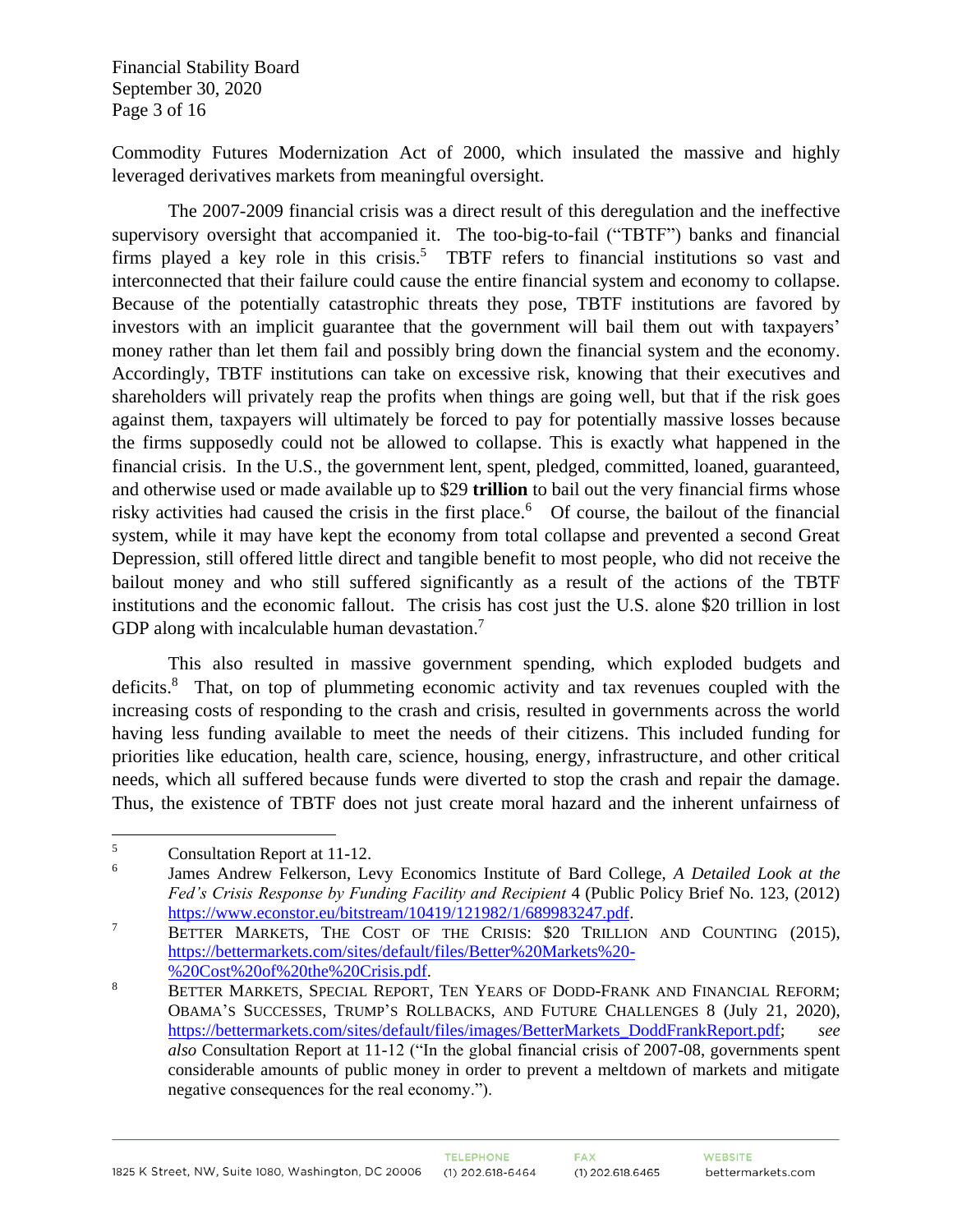Financial Stability Board September 30, 2020 Page 3 of 16

Commodity Futures Modernization Act of 2000, which insulated the massive and highly leveraged derivatives markets from meaningful oversight.

The 2007-2009 financial crisis was a direct result of this deregulation and the ineffective supervisory oversight that accompanied it. The too-big-to-fail ("TBTF") banks and financial firms played a key role in this crisis.<sup>5</sup> TBTF refers to financial institutions so vast and interconnected that their failure could cause the entire financial system and economy to collapse. Because of the potentially catastrophic threats they pose, TBTF institutions are favored by investors with an implicit guarantee that the government will bail them out with taxpayers' money rather than let them fail and possibly bring down the financial system and the economy. Accordingly, TBTF institutions can take on excessive risk, knowing that their executives and shareholders will privately reap the profits when things are going well, but that if the risk goes against them, taxpayers will ultimately be forced to pay for potentially massive losses because the firms supposedly could not be allowed to collapse. This is exactly what happened in the financial crisis. In the U.S., the government lent, spent, pledged, committed, loaned, guaranteed, and otherwise used or made available up to \$29 **trillion** to bail out the very financial firms whose risky activities had caused the crisis in the first place.<sup>6</sup> Of course, the bailout of the financial system, while it may have kept the economy from total collapse and prevented a second Great Depression, still offered little direct and tangible benefit to most people, who did not receive the bailout money and who still suffered significantly as a result of the actions of the TBTF institutions and the economic fallout. The crisis has cost just the U.S. alone \$20 trillion in lost GDP along with incalculable human devastation. $7$ 

This also resulted in massive government spending, which exploded budgets and deficits.<sup>8</sup> That, on top of plummeting economic activity and tax revenues coupled with the increasing costs of responding to the crash and crisis, resulted in governments across the world having less funding available to meet the needs of their citizens. This included funding for priorities like education, health care, science, housing, energy, infrastructure, and other critical needs, which all suffered because funds were diverted to stop the crash and repair the damage. Thus, the existence of TBTF does not just create moral hazard and the inherent unfairness of

<sup>5</sup> Consultation Report at 11-12.

<sup>6</sup> James Andrew Felkerson, Levy Economics Institute of Bard College, *A Detailed Look at the Fed's Crisis Response by Funding Facility and Recipient* 4 (Public Policy Brief No. 123, (2012) [https://www.econstor.eu/bitstream/10419/121982/1/689983247.pdf.](https://www.econstor.eu/bitstream/10419/121982/1/689983247.pdf)

<sup>&</sup>lt;sup>7</sup> BETTER MARKETS, THE COST OF THE CRISIS: \$20 TRILLION AND COUNTING (2015), [https://bettermarkets.com/sites/default/files/Better%20Markets%20-](https://bettermarkets.com/sites/default/files/Better%20Markets%20-%20Cost%20of%20the%20Crisis.pdf) [%20Cost%20of%20the%20Crisis.pdf.](https://bettermarkets.com/sites/default/files/Better%20Markets%20-%20Cost%20of%20the%20Crisis.pdf)

<sup>8</sup> BETTER MARKETS, SPECIAL REPORT, TEN YEARS OF DODD-FRANK AND FINANCIAL REFORM; OBAMA'S SUCCESSES, TRUMP'S ROLLBACKS, AND FUTURE CHALLENGES 8 (July 21, 2020), [https://bettermarkets.com/sites/default/files/images/BetterMarkets\\_DoddFrankReport.pdf;](https://bettermarkets.com/sites/default/files/images/BetterMarkets_DoddFrankReport.pdf) *see also* Consultation Report at 11-12 ("In the global financial crisis of 2007-08, governments spent considerable amounts of public money in order to prevent a meltdown of markets and mitigate negative consequences for the real economy.").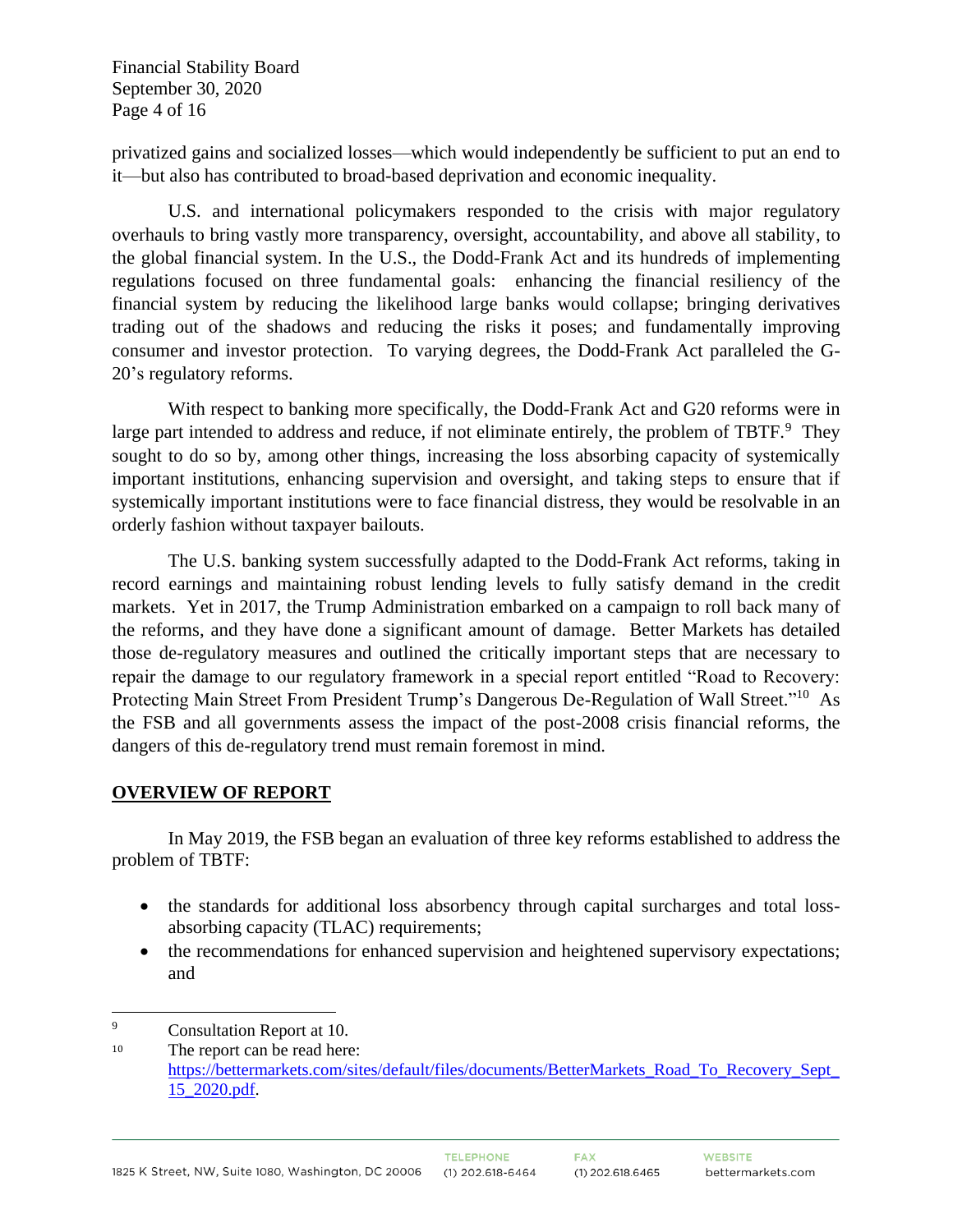Financial Stability Board September 30, 2020 Page 4 of 16

privatized gains and socialized losses—which would independently be sufficient to put an end to it—but also has contributed to broad-based deprivation and economic inequality.

U.S. and international policymakers responded to the crisis with major regulatory overhauls to bring vastly more transparency, oversight, accountability, and above all stability, to the global financial system. In the U.S., the Dodd-Frank Act and its hundreds of implementing regulations focused on three fundamental goals: enhancing the financial resiliency of the financial system by reducing the likelihood large banks would collapse; bringing derivatives trading out of the shadows and reducing the risks it poses; and fundamentally improving consumer and investor protection. To varying degrees, the Dodd-Frank Act paralleled the G-20's regulatory reforms.

With respect to banking more specifically, the Dodd-Frank Act and G20 reforms were in large part intended to address and reduce, if not eliminate entirely, the problem of TBTF.<sup>9</sup> They sought to do so by, among other things, increasing the loss absorbing capacity of systemically important institutions, enhancing supervision and oversight, and taking steps to ensure that if systemically important institutions were to face financial distress, they would be resolvable in an orderly fashion without taxpayer bailouts.

The U.S. banking system successfully adapted to the Dodd-Frank Act reforms, taking in record earnings and maintaining robust lending levels to fully satisfy demand in the credit markets. Yet in 2017, the Trump Administration embarked on a campaign to roll back many of the reforms, and they have done a significant amount of damage. Better Markets has detailed those de-regulatory measures and outlined the critically important steps that are necessary to repair the damage to our regulatory framework in a special report entitled "Road to Recovery: Protecting Main Street From President Trump's Dangerous De-Regulation of Wall Street."<sup>10</sup> As the FSB and all governments assess the impact of the post-2008 crisis financial reforms, the dangers of this de-regulatory trend must remain foremost in mind.

#### **OVERVIEW OF REPORT**

In May 2019, the FSB began an evaluation of three key reforms established to address the problem of TBTF:

- the standards for additional loss absorbency through capital surcharges and total lossabsorbing capacity (TLAC) requirements;
- the recommendations for enhanced supervision and heightened supervisory expectations; and

<sup>9</sup> Consultation Report at 10.

<sup>10</sup> The report can be read here: [https://bettermarkets.com/sites/default/files/documents/BetterMarkets\\_Road\\_To\\_Recovery\\_Sept\\_](https://bettermarkets.com/sites/default/files/documents/BetterMarkets_Road_To_Recovery_Sept_15_2020.pdf) [15\\_2020.pdf.](https://bettermarkets.com/sites/default/files/documents/BetterMarkets_Road_To_Recovery_Sept_15_2020.pdf)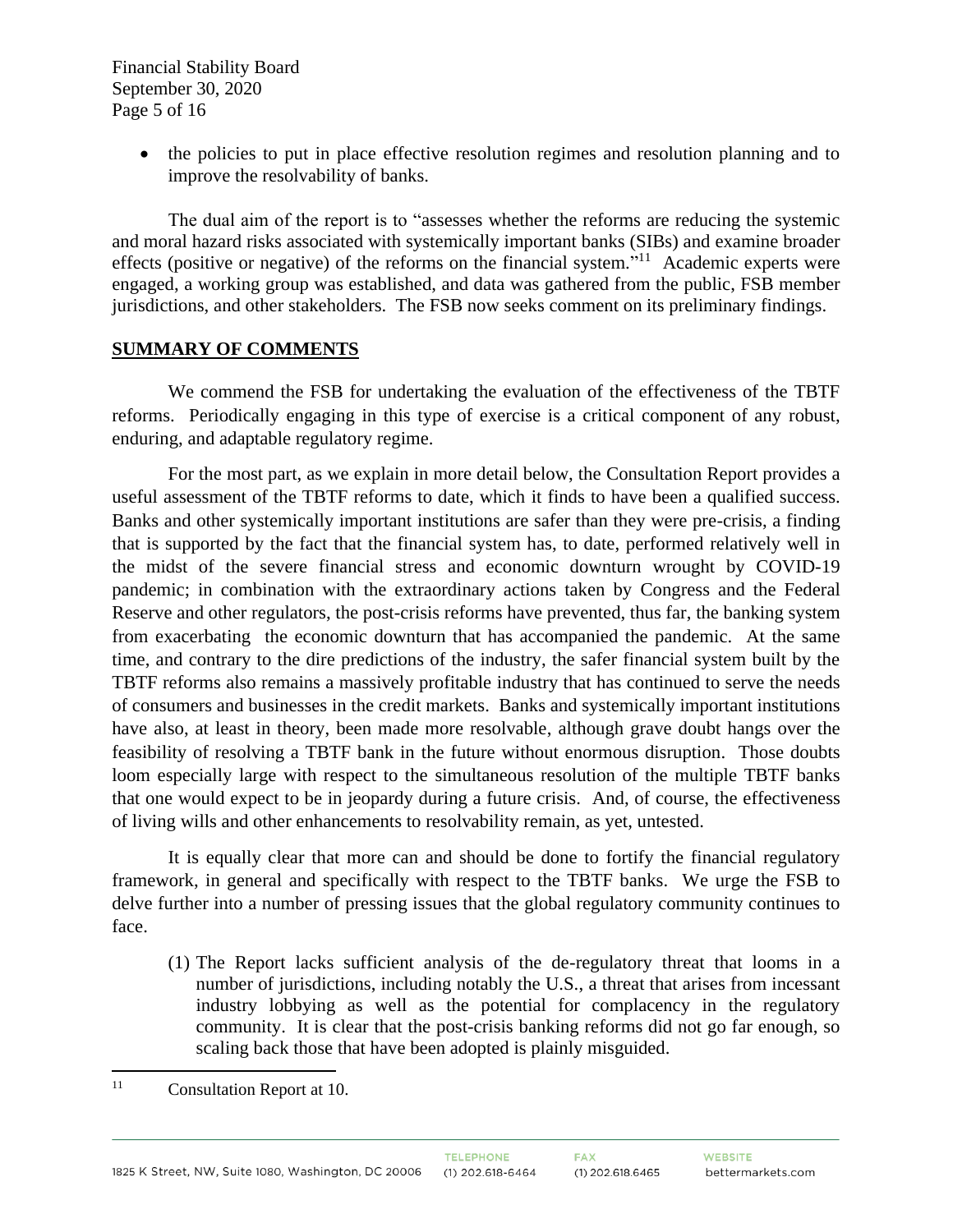Financial Stability Board September 30, 2020 Page 5 of 16

> • the policies to put in place effective resolution regimes and resolution planning and to improve the resolvability of banks.

The dual aim of the report is to "assesses whether the reforms are reducing the systemic and moral hazard risks associated with systemically important banks (SIBs) and examine broader effects (positive or negative) of the reforms on the financial system."<sup>11</sup> Academic experts were engaged, a working group was established, and data was gathered from the public, FSB member jurisdictions, and other stakeholders. The FSB now seeks comment on its preliminary findings.

#### **SUMMARY OF COMMENTS**

We commend the FSB for undertaking the evaluation of the effectiveness of the TBTF reforms. Periodically engaging in this type of exercise is a critical component of any robust, enduring, and adaptable regulatory regime.

For the most part, as we explain in more detail below, the Consultation Report provides a useful assessment of the TBTF reforms to date, which it finds to have been a qualified success. Banks and other systemically important institutions are safer than they were pre-crisis, a finding that is supported by the fact that the financial system has, to date, performed relatively well in the midst of the severe financial stress and economic downturn wrought by COVID-19 pandemic; in combination with the extraordinary actions taken by Congress and the Federal Reserve and other regulators, the post-crisis reforms have prevented, thus far, the banking system from exacerbating the economic downturn that has accompanied the pandemic. At the same time, and contrary to the dire predictions of the industry, the safer financial system built by the TBTF reforms also remains a massively profitable industry that has continued to serve the needs of consumers and businesses in the credit markets. Banks and systemically important institutions have also, at least in theory, been made more resolvable, although grave doubt hangs over the feasibility of resolving a TBTF bank in the future without enormous disruption. Those doubts loom especially large with respect to the simultaneous resolution of the multiple TBTF banks that one would expect to be in jeopardy during a future crisis. And, of course, the effectiveness of living wills and other enhancements to resolvability remain, as yet, untested.

It is equally clear that more can and should be done to fortify the financial regulatory framework, in general and specifically with respect to the TBTF banks. We urge the FSB to delve further into a number of pressing issues that the global regulatory community continues to face.

(1) The Report lacks sufficient analysis of the de-regulatory threat that looms in a number of jurisdictions, including notably the U.S., a threat that arises from incessant industry lobbying as well as the potential for complacency in the regulatory community. It is clear that the post-crisis banking reforms did not go far enough, so scaling back those that have been adopted is plainly misguided.

<sup>&</sup>lt;sup>11</sup> Consultation Report at 10.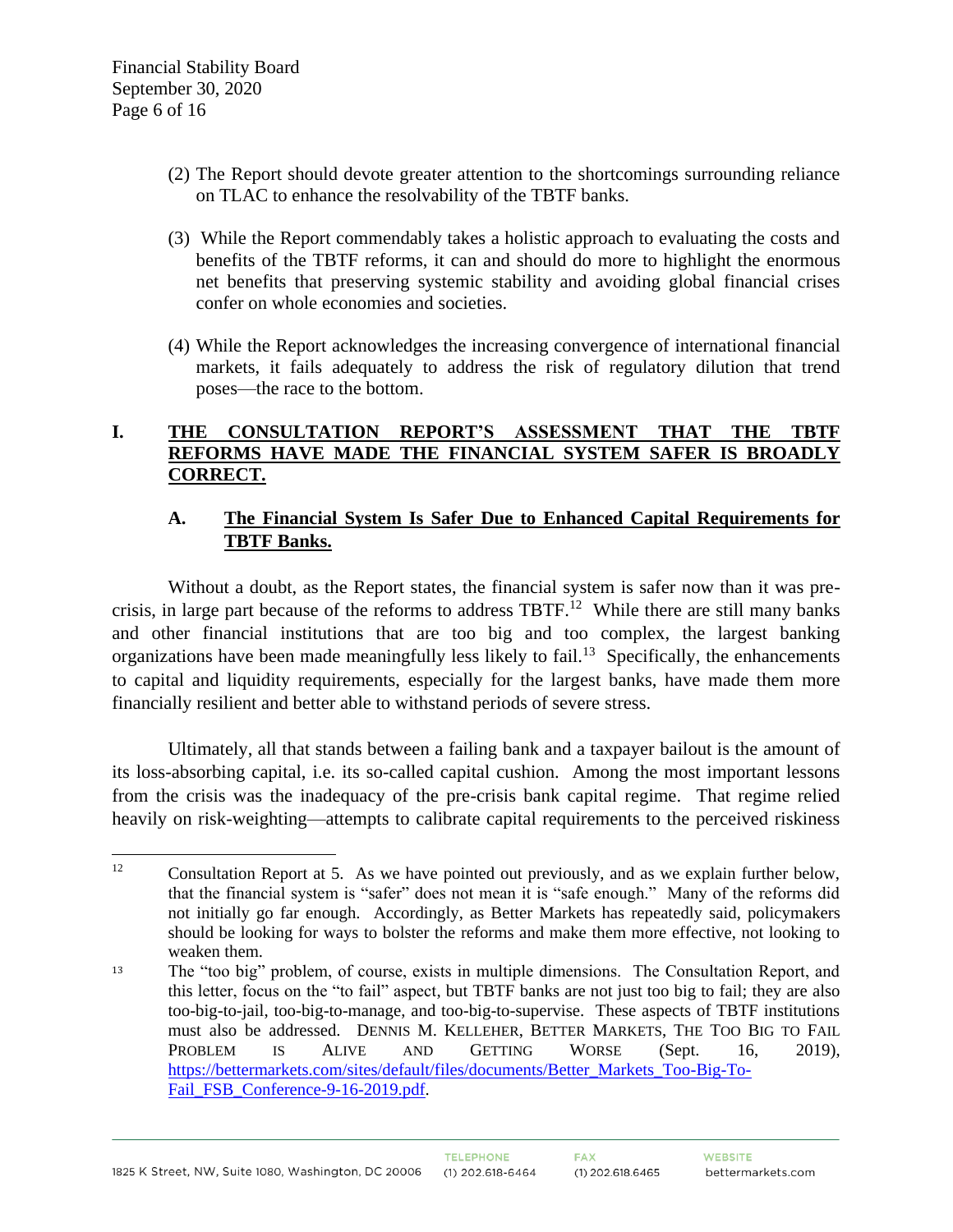- (2) The Report should devote greater attention to the shortcomings surrounding reliance on TLAC to enhance the resolvability of the TBTF banks.
- (3) While the Report commendably takes a holistic approach to evaluating the costs and benefits of the TBTF reforms, it can and should do more to highlight the enormous net benefits that preserving systemic stability and avoiding global financial crises confer on whole economies and societies.
- (4) While the Report acknowledges the increasing convergence of international financial markets, it fails adequately to address the risk of regulatory dilution that trend poses—the race to the bottom.

# **I. THE CONSULTATION REPORT'S ASSESSMENT THAT THE TBTF REFORMS HAVE MADE THE FINANCIAL SYSTEM SAFER IS BROADLY CORRECT.**

# **A. The Financial System Is Safer Due to Enhanced Capital Requirements for TBTF Banks.**

Without a doubt, as the Report states, the financial system is safer now than it was precrisis, in large part because of the reforms to address  $TBTF<sup>12</sup>$  While there are still many banks and other financial institutions that are too big and too complex, the largest banking organizations have been made meaningfully less likely to fail.<sup>13</sup> Specifically, the enhancements to capital and liquidity requirements, especially for the largest banks, have made them more financially resilient and better able to withstand periods of severe stress.

Ultimately, all that stands between a failing bank and a taxpayer bailout is the amount of its loss-absorbing capital, i.e. its so-called capital cushion. Among the most important lessons from the crisis was the inadequacy of the pre-crisis bank capital regime. That regime relied heavily on risk-weighting—attempts to calibrate capital requirements to the perceived riskiness

<sup>&</sup>lt;sup>12</sup> Consultation Report at 5. As we have pointed out previously, and as we explain further below, that the financial system is "safer" does not mean it is "safe enough." Many of the reforms did not initially go far enough. Accordingly, as Better Markets has repeatedly said, policymakers should be looking for ways to bolster the reforms and make them more effective, not looking to weaken them.

<sup>13</sup> The "too big" problem, of course, exists in multiple dimensions. The Consultation Report, and this letter, focus on the "to fail" aspect, but TBTF banks are not just too big to fail; they are also too-big-to-jail, too-big-to-manage, and too-big-to-supervise. These aspects of TBTF institutions must also be addressed. DENNIS M. KELLEHER, BETTER MARKETS, THE TOO BIG TO FAIL PROBLEM IS ALIVE AND GETTING WORSE (Sept. 16, 2019), [https://bettermarkets.com/sites/default/files/documents/Better\\_Markets\\_Too-Big-To-](https://bettermarkets.com/sites/default/files/documents/Better_Markets_Too-Big-To-Fail_FSB_Conference-9-16-2019.pdf)Fail FSB Conference-9-16-2019.pdf.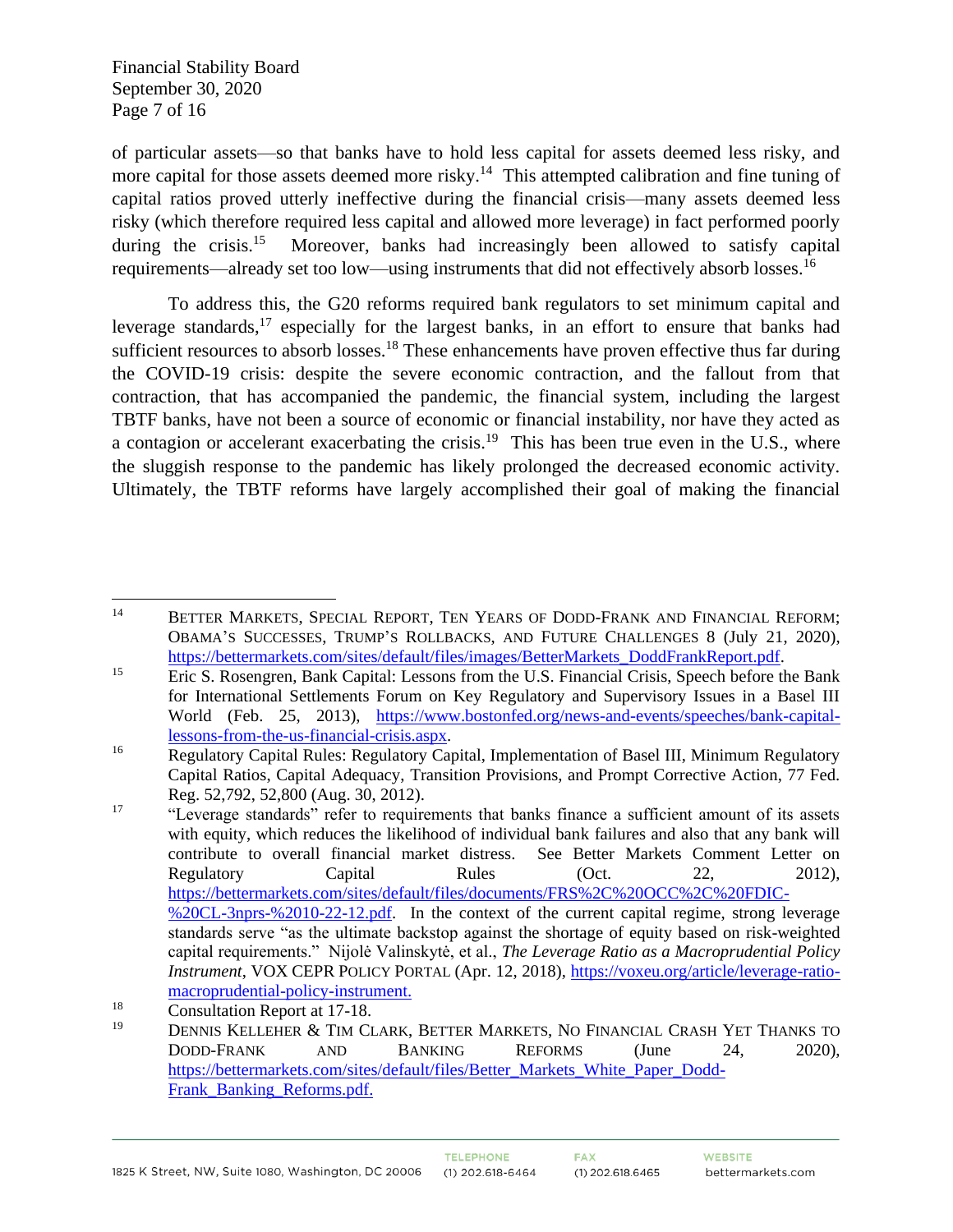Financial Stability Board September 30, 2020 Page 7 of 16

of particular assets—so that banks have to hold less capital for assets deemed less risky, and more capital for those assets deemed more risky.<sup>14</sup> This attempted calibration and fine tuning of capital ratios proved utterly ineffective during the financial crisis—many assets deemed less risky (which therefore required less capital and allowed more leverage) in fact performed poorly during the crisis. $15$  Moreover, banks had increasingly been allowed to satisfy capital requirements—already set too low—using instruments that did not effectively absorb losses.<sup>16</sup>

To address this, the G20 reforms required bank regulators to set minimum capital and leverage standards,  $17$  especially for the largest banks, in an effort to ensure that banks had sufficient resources to absorb losses.<sup>18</sup> These enhancements have proven effective thus far during the COVID-19 crisis: despite the severe economic contraction, and the fallout from that contraction, that has accompanied the pandemic, the financial system, including the largest TBTF banks, have not been a source of economic or financial instability, nor have they acted as a contagion or accelerant exacerbating the crisis.<sup>19</sup> This has been true even in the U.S., where the sluggish response to the pandemic has likely prolonged the decreased economic activity. Ultimately, the TBTF reforms have largely accomplished their goal of making the financial

<sup>&</sup>lt;sup>14</sup> BETTER MARKETS, SPECIAL REPORT, TEN YEARS OF DODD-FRANK AND FINANCIAL REFORM; OBAMA'S SUCCESSES, TRUMP'S ROLLBACKS, AND FUTURE CHALLENGES 8 (July 21, 2020), [https://bettermarkets.com/sites/default/files/images/BetterMarkets\\_DoddFrankReport.pdf.](https://bettermarkets.com/sites/default/files/images/BetterMarkets_DoddFrankReport.pdf)

<sup>&</sup>lt;sup>15</sup> Eric S. Rosengren, Bank Capital: Lessons from the U.S. Financial Crisis, Speech before the Bank for International Settlements Forum on Key Regulatory and Supervisory Issues in a Basel III World (Feb. 25, 2013), [https://www.bostonfed.org/news-and-events/speeches/bank-capital](https://www.bostonfed.org/news-and-events/speeches/bank-capital-lessons-from-the-us-financial-crisis.aspx)[lessons-from-the-us-financial-crisis.aspx.](https://www.bostonfed.org/news-and-events/speeches/bank-capital-lessons-from-the-us-financial-crisis.aspx)

<sup>&</sup>lt;sup>16</sup> Regulatory Capital Rules: Regulatory Capital, Implementation of Basel III, Minimum Regulatory Capital Ratios, Capital Adequacy, Transition Provisions, and Prompt Corrective Action, 77 Fed. Reg. 52,792, 52,800 (Aug. 30, 2012).

<sup>&</sup>lt;sup>17</sup> "Leverage standards" refer to requirements that banks finance a sufficient amount of its assets with equity, which reduces the likelihood of individual bank failures and also that any bank will contribute to overall financial market distress. See Better Markets Comment Letter on Regulatory Capital Rules (Oct. 22, 2012), [https://bettermarkets.com/sites/default/files/documents/FRS%2C%20OCC%2C%20FDIC-](https://bettermarkets.com/sites/default/files/documents/FRS%2C%20OCC%2C%20FDIC-%20CL-3nprs-%2010-22-12.pdf) [%20CL-3nprs-%2010-22-12.pdf.](https://bettermarkets.com/sites/default/files/documents/FRS%2C%20OCC%2C%20FDIC-%20CL-3nprs-%2010-22-12.pdf) In the context of the current capital regime, strong leverage standards serve "as the ultimate backstop against the shortage of equity based on risk-weighted capital requirements." Nijolė Valinskytė, et al., *The Leverage Ratio as a Macroprudential Policy Instrument*, VOX CEPR POLICY PORTAL (Apr. 12, 2018), [https://voxeu.org/article/leverage-ratio](https://voxeu.org/article/leverage-ratio-macroprudential-policy-instrument)[macroprudential-policy-instrument.](https://voxeu.org/article/leverage-ratio-macroprudential-policy-instrument)

<sup>&</sup>lt;sup>18</sup> Consultation Report at  $17-18$ .

<sup>19</sup> DENNIS KELLEHER & TIM CLARK, BETTER MARKETS, NO FINANCIAL CRASH YET THANKS TO DODD-FRANK AND BANKING REFORMS (June 24, 2020), [https://bettermarkets.com/sites/default/files/Better\\_Markets\\_White\\_Paper\\_Dodd-](https://bettermarkets.com/sites/default/files/Better_Markets_White_Paper_Dodd-Frank_Banking_Reforms.pdf)Frank Banking Reforms.pdf.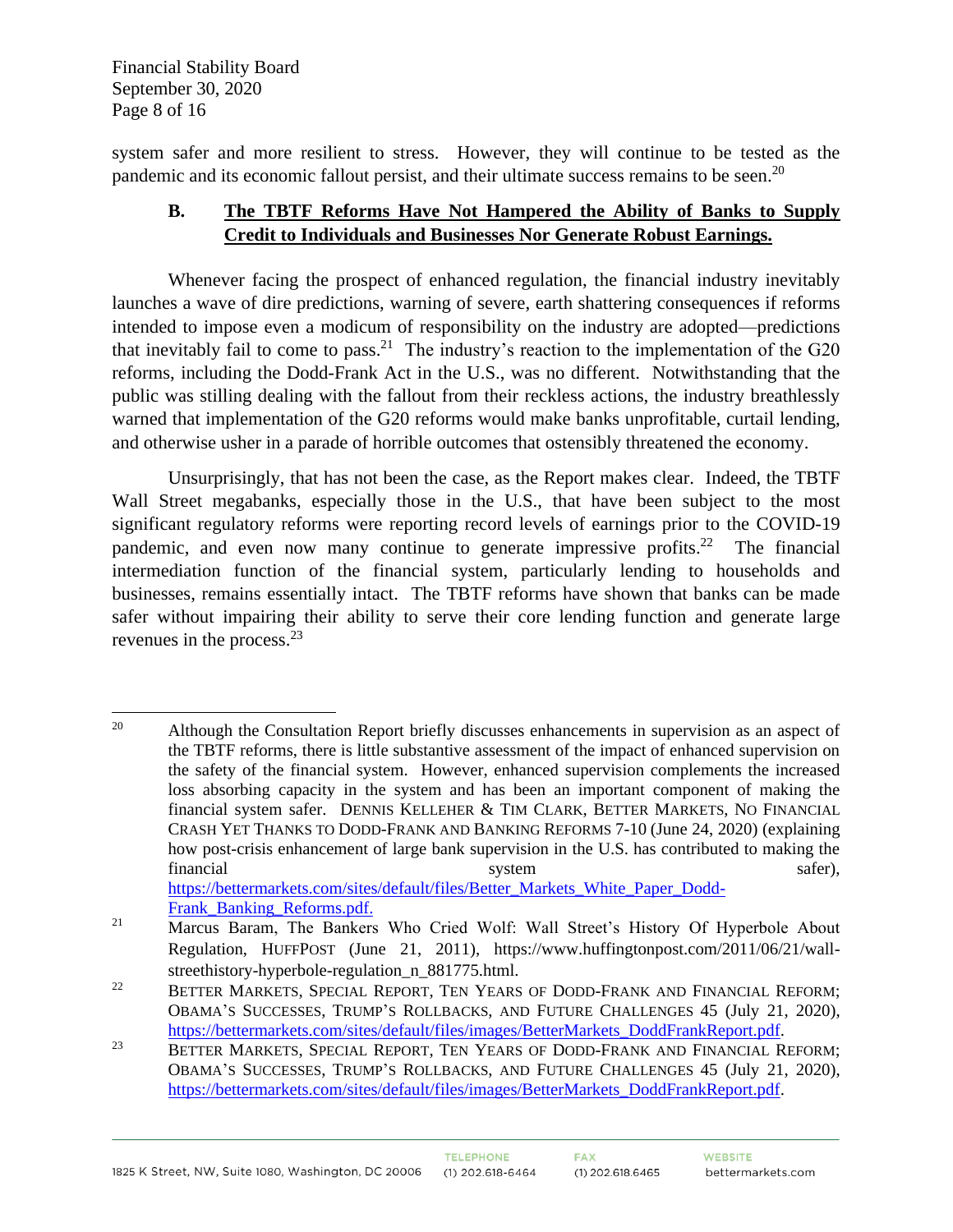Financial Stability Board September 30, 2020 Page 8 of 16

system safer and more resilient to stress. However, they will continue to be tested as the pandemic and its economic fallout persist, and their ultimate success remains to be seen.<sup>20</sup>

# **B. The TBTF Reforms Have Not Hampered the Ability of Banks to Supply Credit to Individuals and Businesses Nor Generate Robust Earnings.**

Whenever facing the prospect of enhanced regulation, the financial industry inevitably launches a wave of dire predictions, warning of severe, earth shattering consequences if reforms intended to impose even a modicum of responsibility on the industry are adopted—predictions that inevitably fail to come to pass.<sup>21</sup> The industry's reaction to the implementation of the  $G20$ reforms, including the Dodd-Frank Act in the U.S., was no different. Notwithstanding that the public was stilling dealing with the fallout from their reckless actions, the industry breathlessly warned that implementation of the G20 reforms would make banks unprofitable, curtail lending, and otherwise usher in a parade of horrible outcomes that ostensibly threatened the economy.

Unsurprisingly, that has not been the case, as the Report makes clear. Indeed, the TBTF Wall Street megabanks, especially those in the U.S., that have been subject to the most significant regulatory reforms were reporting record levels of earnings prior to the COVID-19 pandemic, and even now many continue to generate impressive profits.<sup>22</sup> The financial intermediation function of the financial system, particularly lending to households and businesses, remains essentially intact. The TBTF reforms have shown that banks can be made safer without impairing their ability to serve their core lending function and generate large revenues in the process.<sup>23</sup>

<sup>&</sup>lt;sup>20</sup> Although the Consultation Report briefly discusses enhancements in supervision as an aspect of the TBTF reforms, there is little substantive assessment of the impact of enhanced supervision on the safety of the financial system. However, enhanced supervision complements the increased loss absorbing capacity in the system and has been an important component of making the financial system safer. DENNIS KELLEHER & TIM CLARK, BETTER MARKETS, NO FINANCIAL CRASH YET THANKS TO DODD-FRANK AND BANKING REFORMS 7-10 (June 24, 2020) (explaining how post-crisis enhancement of large bank supervision in the U.S. has contributed to making the financial system safer), system safer), safer), safer), safer), safer), safer), safer), safer), safer [https://bettermarkets.com/sites/default/files/Better\\_Markets\\_White\\_Paper\\_Dodd-](https://bettermarkets.com/sites/default/files/Better_Markets_White_Paper_Dodd-Frank_Banking_Reforms.pdf)Frank Banking Reforms.pdf.

<sup>&</sup>lt;sup>21</sup> Marcus Baram, The Bankers Who Cried Wolf: Wall Street's History Of Hyperbole About Regulation, HUFFPOST (June 21, 2011), https://www.huffingtonpost.com/2011/06/21/wallstreethistory-hyperbole-regulation n 881775.html.

<sup>&</sup>lt;sup>22</sup> BETTER MARKETS, SPECIAL REPORT, TEN YEARS OF DODD-FRANK AND FINANCIAL REFORM; OBAMA'S SUCCESSES, TRUMP'S ROLLBACKS, AND FUTURE CHALLENGES 45 (July 21, 2020), [https://bettermarkets.com/sites/default/files/images/BetterMarkets\\_DoddFrankReport.pdf.](https://bettermarkets.com/sites/default/files/images/BetterMarkets_DoddFrankReport.pdf)

<sup>&</sup>lt;sup>23</sup> BETTER MARKETS, SPECIAL REPORT, TEN YEARS OF DODD-FRANK AND FINANCIAL REFORM; OBAMA'S SUCCESSES, TRUMP'S ROLLBACKS, AND FUTURE CHALLENGES 45 (July 21, 2020), [https://bettermarkets.com/sites/default/files/images/BetterMarkets\\_DoddFrankReport.pdf.](https://bettermarkets.com/sites/default/files/images/BetterMarkets_DoddFrankReport.pdf)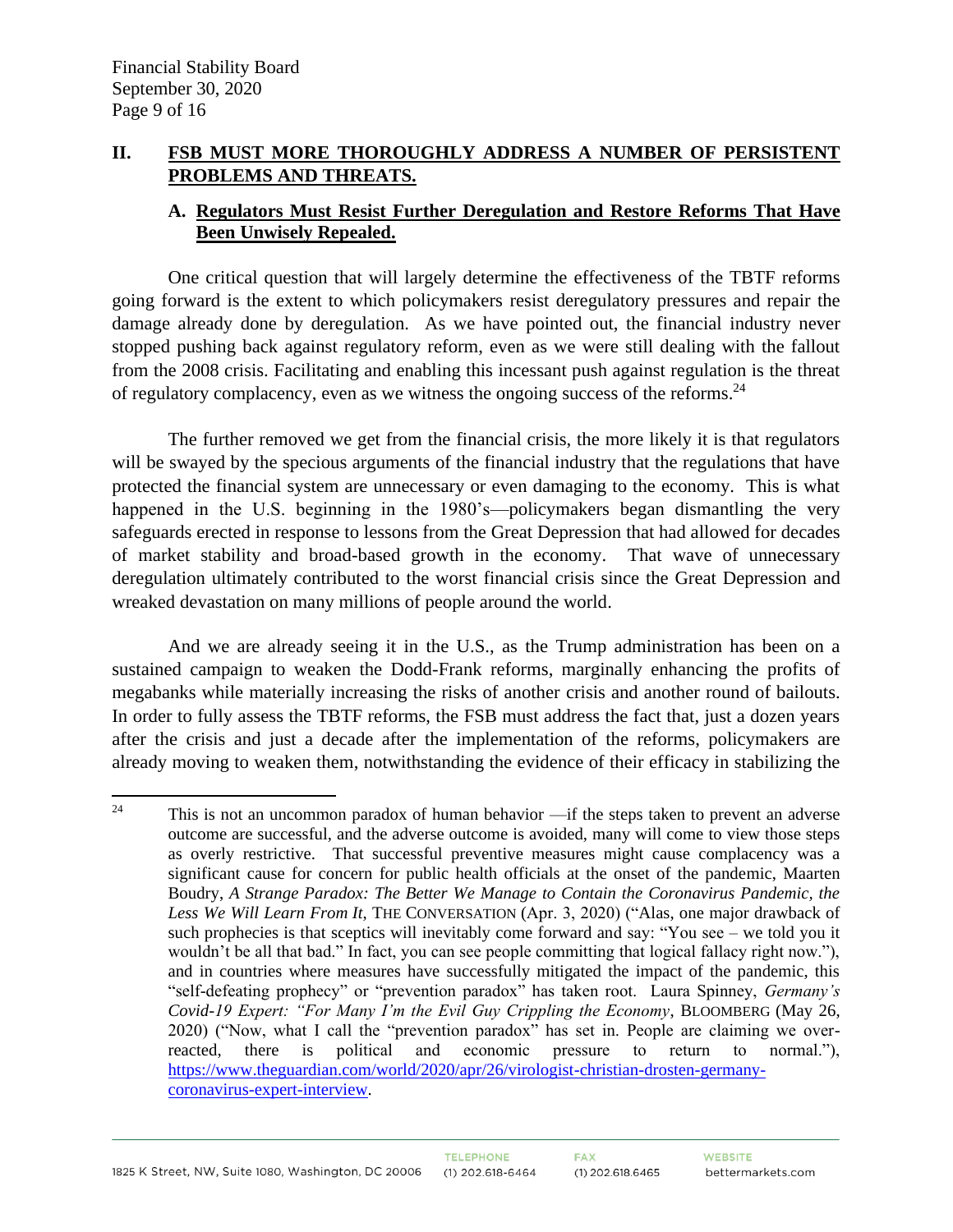#### **II. FSB MUST MORE THOROUGHLY ADDRESS A NUMBER OF PERSISTENT PROBLEMS AND THREATS.**

#### **A. Regulators Must Resist Further Deregulation and Restore Reforms That Have Been Unwisely Repealed.**

One critical question that will largely determine the effectiveness of the TBTF reforms going forward is the extent to which policymakers resist deregulatory pressures and repair the damage already done by deregulation. As we have pointed out, the financial industry never stopped pushing back against regulatory reform, even as we were still dealing with the fallout from the 2008 crisis. Facilitating and enabling this incessant push against regulation is the threat of regulatory complacency, even as we witness the ongoing success of the reforms. $^{24}$ 

The further removed we get from the financial crisis, the more likely it is that regulators will be swayed by the specious arguments of the financial industry that the regulations that have protected the financial system are unnecessary or even damaging to the economy. This is what happened in the U.S. beginning in the 1980's—policymakers began dismantling the very safeguards erected in response to lessons from the Great Depression that had allowed for decades of market stability and broad-based growth in the economy. That wave of unnecessary deregulation ultimately contributed to the worst financial crisis since the Great Depression and wreaked devastation on many millions of people around the world.

And we are already seeing it in the U.S., as the Trump administration has been on a sustained campaign to weaken the Dodd-Frank reforms, marginally enhancing the profits of megabanks while materially increasing the risks of another crisis and another round of bailouts. In order to fully assess the TBTF reforms, the FSB must address the fact that, just a dozen years after the crisis and just a decade after the implementation of the reforms, policymakers are already moving to weaken them, notwithstanding the evidence of their efficacy in stabilizing the

<sup>&</sup>lt;sup>24</sup> This is not an uncommon paradox of human behavior —if the steps taken to prevent an adverse outcome are successful, and the adverse outcome is avoided, many will come to view those steps as overly restrictive. That successful preventive measures might cause complacency was a significant cause for concern for public health officials at the onset of the pandemic, Maarten Boudry, *A Strange Paradox: The Better We Manage to Contain the Coronavirus Pandemic, the Less We Will Learn From It*, THE CONVERSATION (Apr. 3, 2020) ("Alas, one major drawback of such prophecies is that sceptics will inevitably come forward and say: "You see – we told you it wouldn't be all that bad." In fact, you can see people committing that logical fallacy right now."), and in countries where measures have successfully mitigated the impact of the pandemic, this "self-defeating prophecy" or "prevention paradox" has taken root. Laura Spinney, *Germany's Covid-19 Expert: "For Many I'm the Evil Guy Crippling the Economy*, BLOOMBERG (May 26, 2020) ("Now, what I call the "prevention paradox" has set in. People are claiming we overreacted, there is political and economic pressure to return to normal."), [https://www.theguardian.com/world/2020/apr/26/virologist-christian-drosten-germany](https://www.theguardian.com/world/2020/apr/26/virologist-christian-drosten-germany-coronavirus-expert-interview)[coronavirus-expert-interview.](https://www.theguardian.com/world/2020/apr/26/virologist-christian-drosten-germany-coronavirus-expert-interview)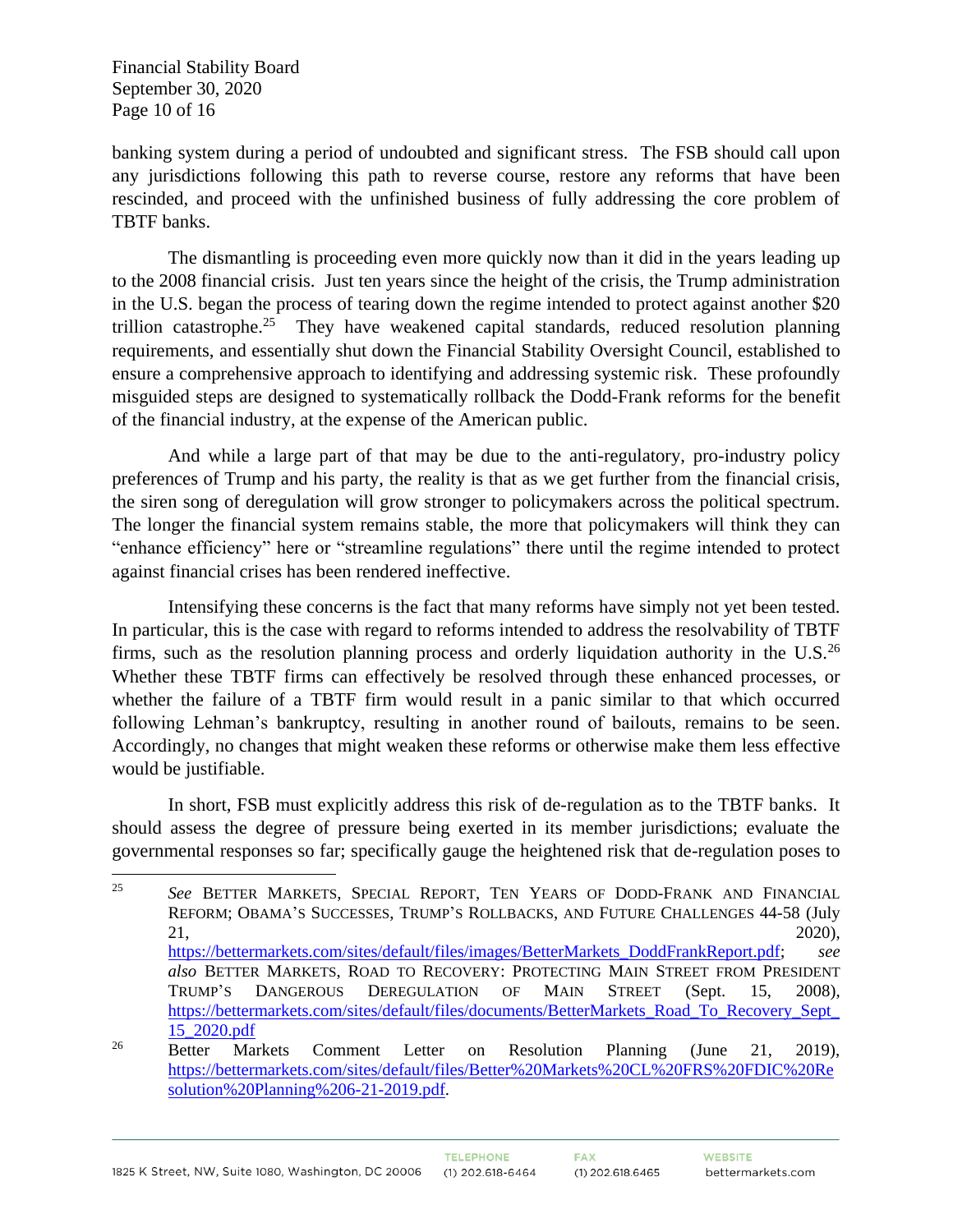Financial Stability Board September 30, 2020 Page 10 of 16

banking system during a period of undoubted and significant stress. The FSB should call upon any jurisdictions following this path to reverse course, restore any reforms that have been rescinded, and proceed with the unfinished business of fully addressing the core problem of TBTF banks.

The dismantling is proceeding even more quickly now than it did in the years leading up to the 2008 financial crisis. Just ten years since the height of the crisis, the Trump administration in the U.S. began the process of tearing down the regime intended to protect against another \$20 trillion catastrophe.<sup>25</sup> They have weakened capital standards, reduced resolution planning requirements, and essentially shut down the Financial Stability Oversight Council, established to ensure a comprehensive approach to identifying and addressing systemic risk. These profoundly misguided steps are designed to systematically rollback the Dodd-Frank reforms for the benefit of the financial industry, at the expense of the American public.

And while a large part of that may be due to the anti-regulatory, pro-industry policy preferences of Trump and his party, the reality is that as we get further from the financial crisis, the siren song of deregulation will grow stronger to policymakers across the political spectrum. The longer the financial system remains stable, the more that policymakers will think they can "enhance efficiency" here or "streamline regulations" there until the regime intended to protect against financial crises has been rendered ineffective.

Intensifying these concerns is the fact that many reforms have simply not yet been tested. In particular, this is the case with regard to reforms intended to address the resolvability of TBTF firms, such as the resolution planning process and orderly liquidation authority in the U.S. $^{26}$ Whether these TBTF firms can effectively be resolved through these enhanced processes, or whether the failure of a TBTF firm would result in a panic similar to that which occurred following Lehman's bankruptcy, resulting in another round of bailouts, remains to be seen. Accordingly, no changes that might weaken these reforms or otherwise make them less effective would be justifiable.

In short, FSB must explicitly address this risk of de-regulation as to the TBTF banks. It should assess the degree of pressure being exerted in its member jurisdictions; evaluate the governmental responses so far; specifically gauge the heightened risk that de-regulation poses to

<sup>25</sup> *See* BETTER MARKETS, SPECIAL REPORT, TEN YEARS OF DODD-FRANK AND FINANCIAL REFORM; OBAMA'S SUCCESSES, TRUMP'S ROLLBACKS, AND FUTURE CHALLENGES 44-58 (July 21, 2020), [https://bettermarkets.com/sites/default/files/images/BetterMarkets\\_DoddFrankReport.pdf;](https://bettermarkets.com/sites/default/files/images/BetterMarkets_DoddFrankReport.pdf) *see also* BETTER MARKETS, ROAD TO RECOVERY: PROTECTING MAIN STREET FROM PRESIDENT TRUMP'S DANGEROUS DEREGULATION OF MAIN STREET (Sept. 15, 2008), [https://bettermarkets.com/sites/default/files/documents/BetterMarkets\\_Road\\_To\\_Recovery\\_Sept\\_](https://bettermarkets.com/sites/default/files/documents/BetterMarkets_Road_To_Recovery_Sept_15_2020.pdf) [15\\_2020.pdf](https://bettermarkets.com/sites/default/files/documents/BetterMarkets_Road_To_Recovery_Sept_15_2020.pdf) <sup>26</sup> Better Markets Comment Letter on Resolution Planning (June 21, 2019),

[https://bettermarkets.com/sites/default/files/Better%20Markets%20CL%20FRS%20FDIC%20Re](https://bettermarkets.com/sites/default/files/Better%20Markets%20CL%20FRS%20FDIC%20Resolution%20Planning%206-21-2019.pdf) [solution%20Planning%206-21-2019.pdf.](https://bettermarkets.com/sites/default/files/Better%20Markets%20CL%20FRS%20FDIC%20Resolution%20Planning%206-21-2019.pdf)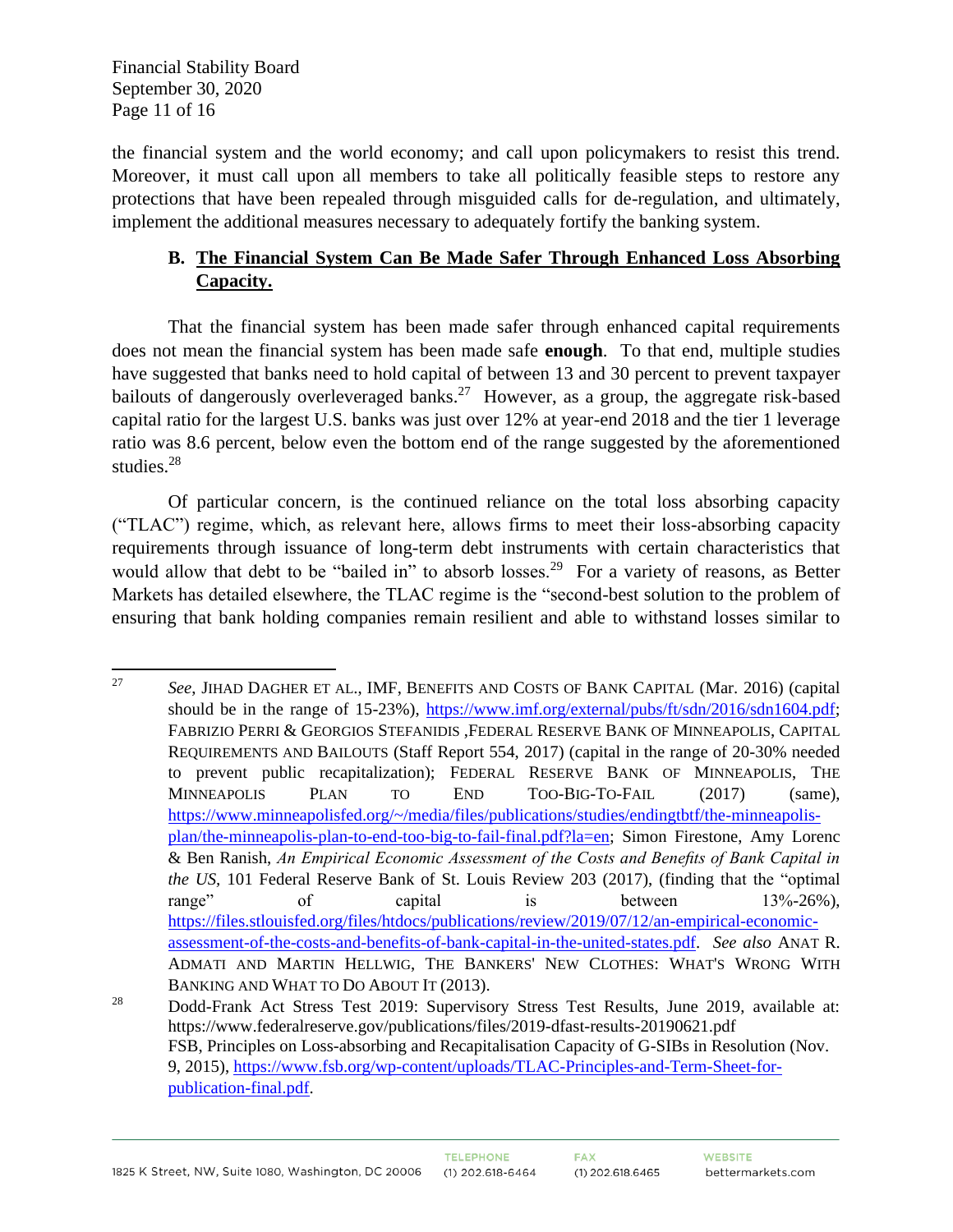Financial Stability Board September 30, 2020 Page 11 of 16

the financial system and the world economy; and call upon policymakers to resist this trend. Moreover, it must call upon all members to take all politically feasible steps to restore any protections that have been repealed through misguided calls for de-regulation, and ultimately, implement the additional measures necessary to adequately fortify the banking system.

# **B. The Financial System Can Be Made Safer Through Enhanced Loss Absorbing Capacity.**

That the financial system has been made safer through enhanced capital requirements does not mean the financial system has been made safe **enough**. To that end, multiple studies have suggested that banks need to hold capital of between 13 and 30 percent to prevent taxpayer bailouts of dangerously overleveraged banks.<sup>27</sup> However, as a group, the aggregate risk-based capital ratio for the largest U.S. banks was just over 12% at year-end 2018 and the tier 1 leverage ratio was 8.6 percent, below even the bottom end of the range suggested by the aforementioned studies.<sup>28</sup>

Of particular concern, is the continued reliance on the total loss absorbing capacity ("TLAC") regime, which, as relevant here, allows firms to meet their loss-absorbing capacity requirements through issuance of long-term debt instruments with certain characteristics that would allow that debt to be "bailed in" to absorb losses.<sup>29</sup> For a variety of reasons, as Better Markets has detailed elsewhere, the TLAC regime is the "second-best solution to the problem of ensuring that bank holding companies remain resilient and able to withstand losses similar to

<sup>27</sup> *See*, JIHAD DAGHER ET AL., IMF, BENEFITS AND COSTS OF BANK CAPITAL (Mar. 2016) (capital should be in the range of 15-23%), [https://www.imf.org/external/pubs/ft/sdn/2016/sdn1604.pdf;](https://www.imf.org/external/pubs/ft/sdn/2016/sdn1604.pdf) FABRIZIO PERRI & GEORGIOS STEFANIDIS ,FEDERAL RESERVE BANK OF MINNEAPOLIS, CAPITAL REQUIREMENTS AND BAILOUTS (Staff Report 554, 2017) (capital in the range of 20-30% needed to prevent public recapitalization); FEDERAL RESERVE BANK OF MINNEAPOLIS, THE MINNEAPOLIS PLAN TO END TOO-BIG-TO-FAIL (2017) (same), [https://www.minneapolisfed.org/~/media/files/publications/studies/endingtbtf/the-minneapolis](https://www.minneapolisfed.org/~/media/files/publications/studies/endingtbtf/the-minneapolis-plan/the-minneapolis-plan-to-end-too-big-to-fail-final.pdf?la=en)[plan/the-minneapolis-plan-to-end-too-big-to-fail-final.pdf?la=en;](https://www.minneapolisfed.org/~/media/files/publications/studies/endingtbtf/the-minneapolis-plan/the-minneapolis-plan-to-end-too-big-to-fail-final.pdf?la=en) Simon Firestone, Amy Lorenc & Ben Ranish, *An Empirical Economic Assessment of the Costs and Benefits of Bank Capital in the US,* 101 Federal Reserve Bank of St. Louis Review 203 (2017), (finding that the "optimal range" of capital is between 13%-26%), [https://files.stlouisfed.org/files/htdocs/publications/review/2019/07/12/an-empirical-economic](https://files.stlouisfed.org/files/htdocs/publications/review/2019/07/12/an-empirical-economic-assessment-of-the-costs-and-benefits-of-bank-capital-in-the-united-states.pdf)[assessment-of-the-costs-and-benefits-of-bank-capital-in-the-united-states.pdf.](https://files.stlouisfed.org/files/htdocs/publications/review/2019/07/12/an-empirical-economic-assessment-of-the-costs-and-benefits-of-bank-capital-in-the-united-states.pdf) *See also* ANAT R. ADMATI AND MARTIN HELLWIG, THE BANKERS' NEW CLOTHES: WHAT'S WRONG WITH BANKING AND WHAT TO DO ABOUT IT (2013).

<sup>&</sup>lt;sup>28</sup> Dodd-Frank Act Stress Test 2019: Supervisory Stress Test Results, June 2019, available at: https://www.federalreserve.gov/publications/files/2019-dfast-results-20190621.pdf FSB, Principles on Loss-absorbing and Recapitalisation Capacity of G-SIBs in Resolution (Nov. 9, 2015), [https://www.fsb.org/wp-content/uploads/TLAC-Principles-and-Term-Sheet-for](https://www.fsb.org/wp-content/uploads/TLAC-Principles-and-Term-Sheet-for-publication-final.pdf)[publication-final.pdf.](https://www.fsb.org/wp-content/uploads/TLAC-Principles-and-Term-Sheet-for-publication-final.pdf)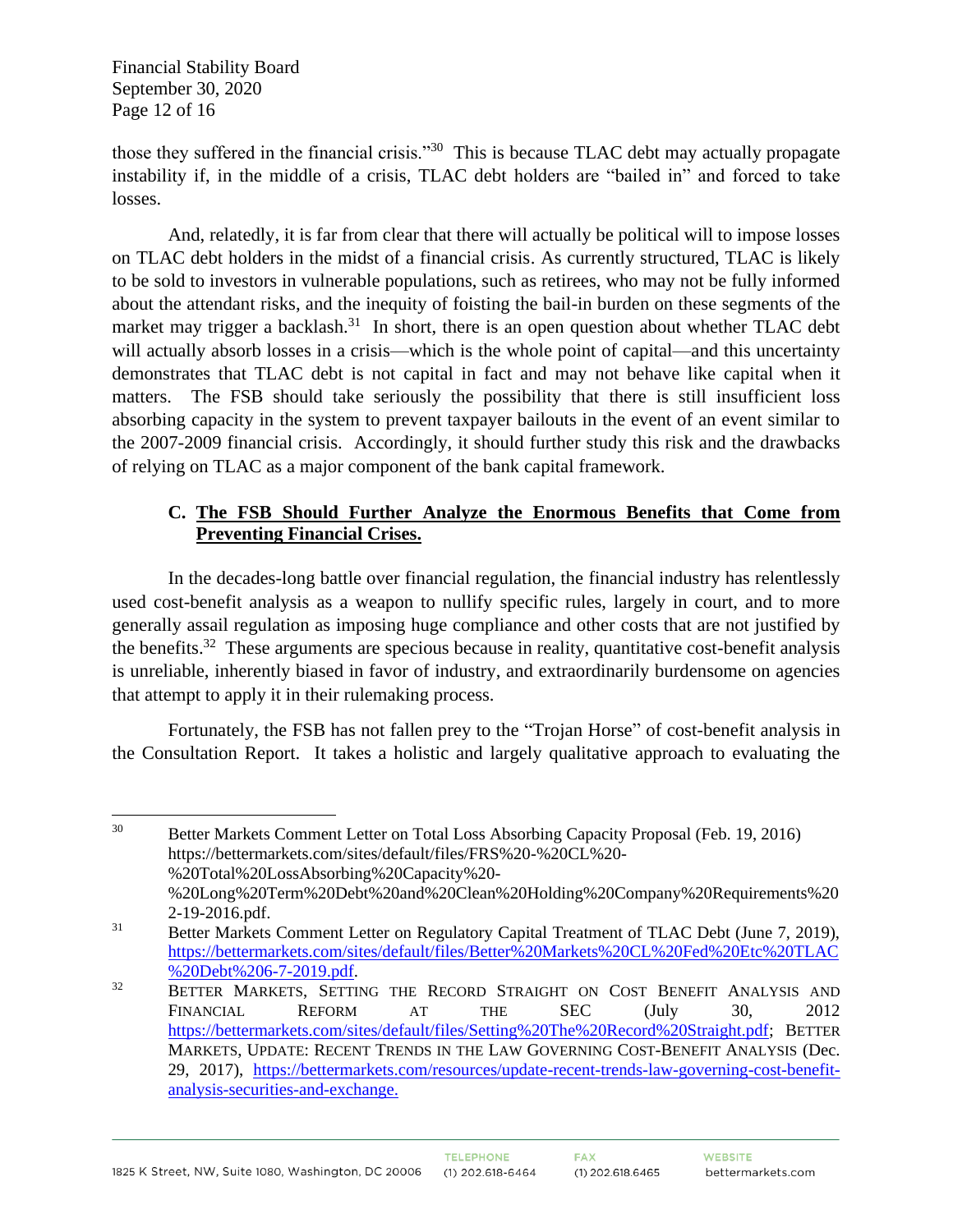Financial Stability Board September 30, 2020 Page 12 of 16

those they suffered in the financial crisis."<sup>30</sup> This is because TLAC debt may actually propagate instability if, in the middle of a crisis, TLAC debt holders are "bailed in" and forced to take losses.

And, relatedly, it is far from clear that there will actually be political will to impose losses on TLAC debt holders in the midst of a financial crisis. As currently structured, TLAC is likely to be sold to investors in vulnerable populations, such as retirees, who may not be fully informed about the attendant risks, and the inequity of foisting the bail-in burden on these segments of the market may trigger a backlash.<sup>31</sup> In short, there is an open question about whether TLAC debt will actually absorb losses in a crisis—which is the whole point of capital—and this uncertainty demonstrates that TLAC debt is not capital in fact and may not behave like capital when it matters. The FSB should take seriously the possibility that there is still insufficient loss absorbing capacity in the system to prevent taxpayer bailouts in the event of an event similar to the 2007-2009 financial crisis. Accordingly, it should further study this risk and the drawbacks of relying on TLAC as a major component of the bank capital framework.

# **C. The FSB Should Further Analyze the Enormous Benefits that Come from Preventing Financial Crises.**

In the decades-long battle over financial regulation, the financial industry has relentlessly used cost-benefit analysis as a weapon to nullify specific rules, largely in court, and to more generally assail regulation as imposing huge compliance and other costs that are not justified by the benefits.<sup>32</sup> These arguments are specious because in reality, quantitative cost-benefit analysis is unreliable, inherently biased in favor of industry, and extraordinarily burdensome on agencies that attempt to apply it in their rulemaking process.

Fortunately, the FSB has not fallen prey to the "Trojan Horse" of cost-benefit analysis in the Consultation Report. It takes a holistic and largely qualitative approach to evaluating the

<sup>&</sup>lt;sup>30</sup> Better Markets Comment Letter on Total Loss Absorbing Capacity Proposal (Feb. 19, 2016) https://bettermarkets.com/sites/default/files/FRS%20-%20CL%20- %20Total%20LossAbsorbing%20Capacity%20- %20Long%20Term%20Debt%20and%20Clean%20Holding%20Company%20Requirements%20 2-19-2016.pdf.

<sup>&</sup>lt;sup>31</sup> Better Markets Comment Letter on Regulatory Capital Treatment of TLAC Debt (June 7, 2019), [https://bettermarkets.com/sites/default/files/Better%20Markets%20CL%20Fed%20Etc%20TLAC](https://bettermarkets.com/sites/default/files/Better%20Markets%20CL%20Fed%20Etc%20TLAC%20Debt%206-7-2019.pdf) [%20Debt%206-7-2019.pdf.](https://bettermarkets.com/sites/default/files/Better%20Markets%20CL%20Fed%20Etc%20TLAC%20Debt%206-7-2019.pdf)

<sup>&</sup>lt;sup>32</sup> BETTER MARKETS, SETTING THE RECORD STRAIGHT ON COST BENEFIT ANALYSIS AND FINANCIAL REFORM AT THE SEC (July 30, 2012 [https://bettermarkets.com/sites/default/files/Setting%20The%20Record%20Straight.pdf;](https://bettermarkets.com/sites/default/files/Setting%20The%20Record%20Straight.pdf) BETTER MARKETS, UPDATE: RECENT TRENDS IN THE LAW GOVERNING COST-BENEFIT ANALYSIS (Dec. 29, 2017), [https://bettermarkets.com/resources/update-recent-trends-law-governing-cost-benefit](https://bettermarkets.com/resources/update-recent-trends-law-governing-cost-benefit-analysis-securities-and-exchange)[analysis-securities-and-exchange.](https://bettermarkets.com/resources/update-recent-trends-law-governing-cost-benefit-analysis-securities-and-exchange)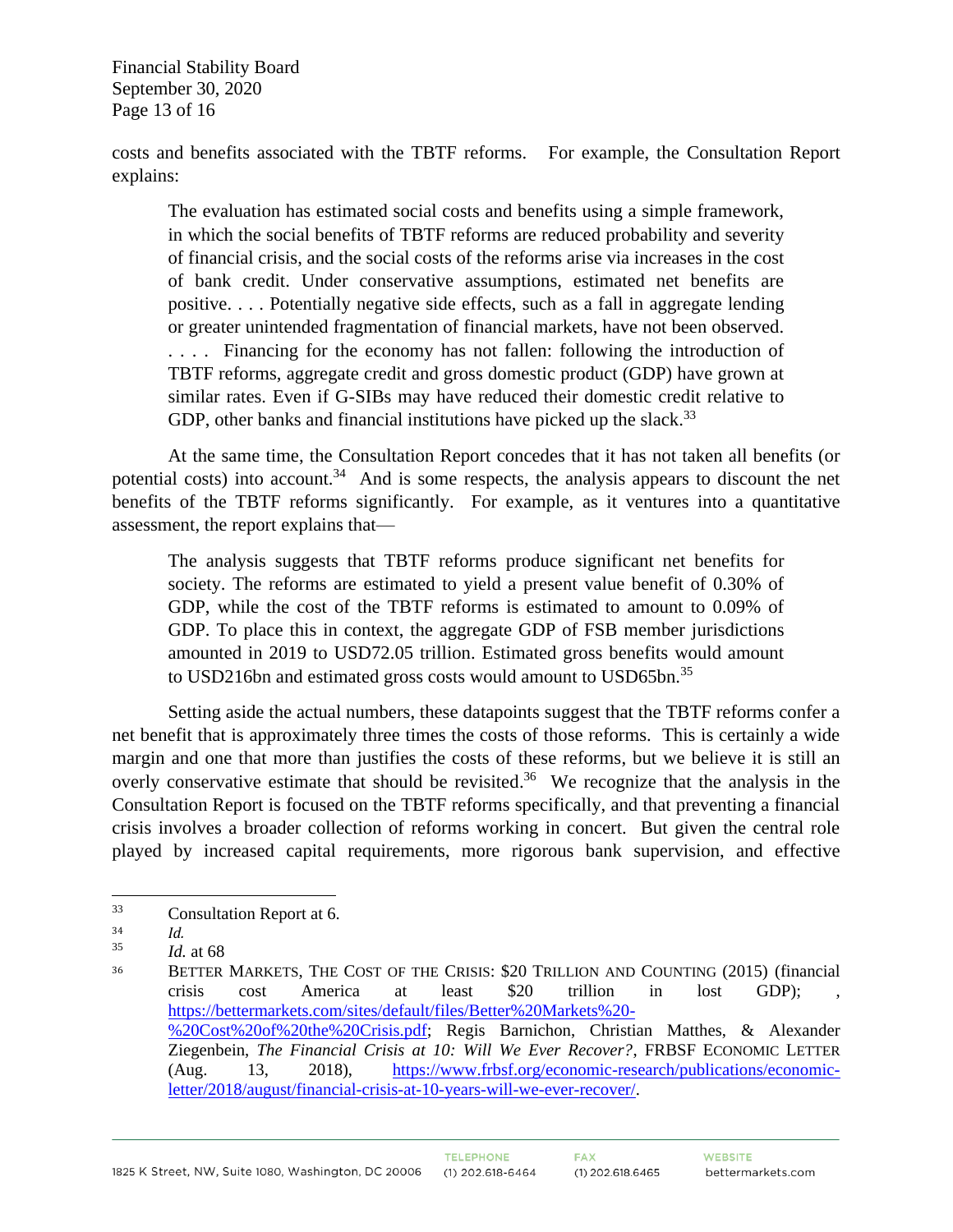Financial Stability Board September 30, 2020 Page 13 of 16

costs and benefits associated with the TBTF reforms. For example, the Consultation Report explains:

The evaluation has estimated social costs and benefits using a simple framework, in which the social benefits of TBTF reforms are reduced probability and severity of financial crisis, and the social costs of the reforms arise via increases in the cost of bank credit. Under conservative assumptions, estimated net benefits are positive. . . . Potentially negative side effects, such as a fall in aggregate lending or greater unintended fragmentation of financial markets, have not been observed. . . . . Financing for the economy has not fallen: following the introduction of TBTF reforms, aggregate credit and gross domestic product (GDP) have grown at similar rates. Even if G-SIBs may have reduced their domestic credit relative to GDP, other banks and financial institutions have picked up the slack.<sup>33</sup>

At the same time, the Consultation Report concedes that it has not taken all benefits (or potential costs) into account.<sup>34</sup> And is some respects, the analysis appears to discount the net benefits of the TBTF reforms significantly. For example, as it ventures into a quantitative assessment, the report explains that—

The analysis suggests that TBTF reforms produce significant net benefits for society. The reforms are estimated to yield a present value benefit of 0.30% of GDP, while the cost of the TBTF reforms is estimated to amount to 0.09% of GDP. To place this in context, the aggregate GDP of FSB member jurisdictions amounted in 2019 to USD72.05 trillion. Estimated gross benefits would amount to USD216bn and estimated gross costs would amount to USD65bn.<sup>35</sup>

Setting aside the actual numbers, these datapoints suggest that the TBTF reforms confer a net benefit that is approximately three times the costs of those reforms. This is certainly a wide margin and one that more than justifies the costs of these reforms, but we believe it is still an overly conservative estimate that should be revisited.<sup>36</sup> We recognize that the analysis in the Consultation Report is focused on the TBTF reforms specifically, and that preventing a financial crisis involves a broader collection of reforms working in concert. But given the central role played by increased capital requirements, more rigorous bank supervision, and effective

<sup>33</sup> Consultation Report at 6.

 $\frac{34}{35}$  *Id.* 

*Id.* at 68

<sup>36</sup> BETTER MARKETS, THE COST OF THE CRISIS: \$20 TRILLION AND COUNTING (2015) (financial crisis cost America at least \$20 trillion in lost GDP); , [https://bettermarkets.com/sites/default/files/Better%20Markets%20-](https://bettermarkets.com/sites/default/files/Better%20Markets%20-%20Cost%20of%20the%20Crisis.pdf) [%20Cost%20of%20the%20Crisis.pdf;](https://bettermarkets.com/sites/default/files/Better%20Markets%20-%20Cost%20of%20the%20Crisis.pdf) Regis Barnichon, Christian Matthes, & Alexander Ziegenbein, *The Financial Crisis at 10: Will We Ever Recover?*, FRBSF ECONOMIC LETTER (Aug. 13, 2018), [https://www.frbsf.org/economic-research/publications/economic](https://www.frbsf.org/economic-research/publications/economic-letter/2018/august/financial-crisis-at-10-years-will-we-ever-recover/)[letter/2018/august/financial-crisis-at-10-years-will-we-ever-recover/.](https://www.frbsf.org/economic-research/publications/economic-letter/2018/august/financial-crisis-at-10-years-will-we-ever-recover/)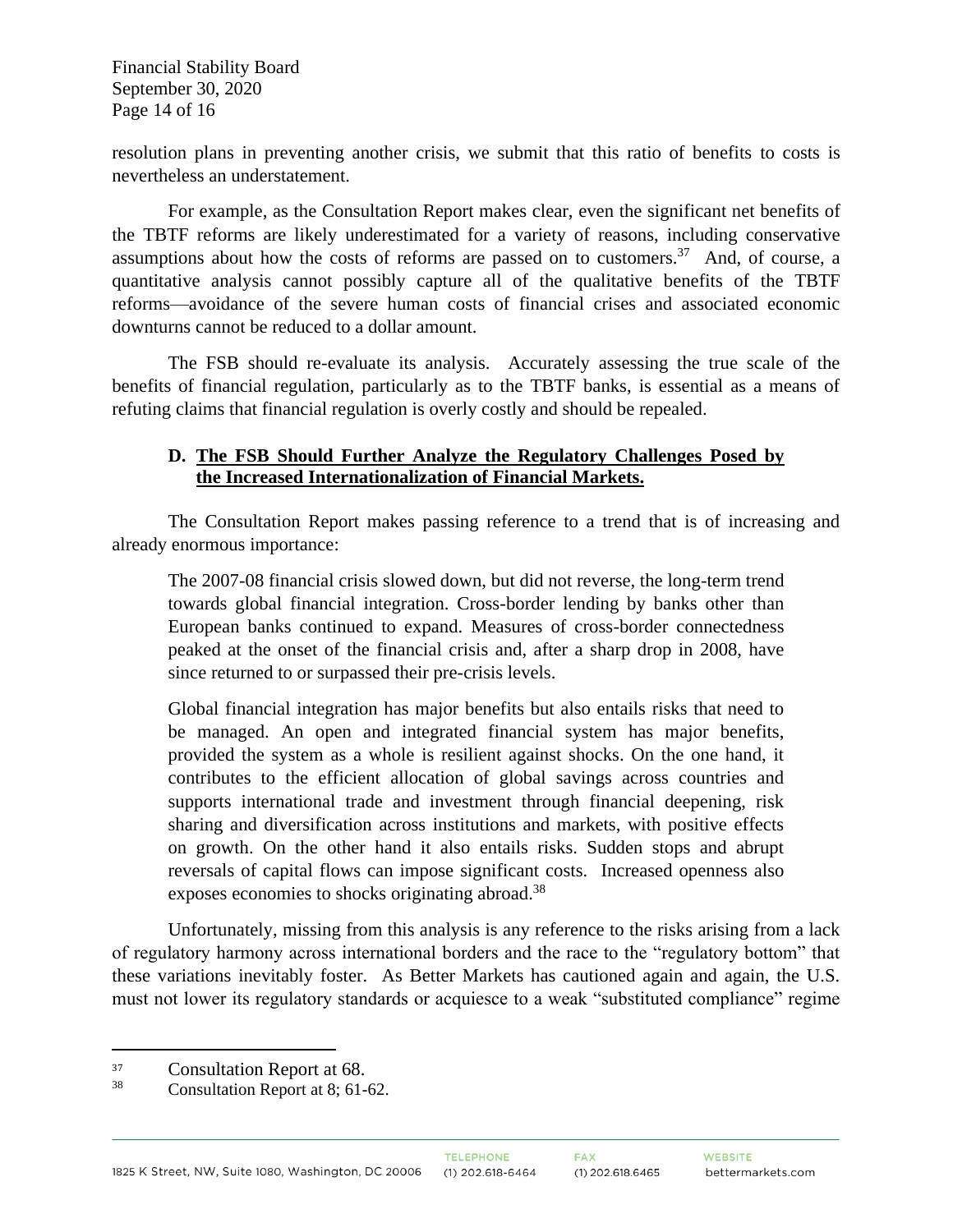Financial Stability Board September 30, 2020 Page 14 of 16

resolution plans in preventing another crisis, we submit that this ratio of benefits to costs is nevertheless an understatement.

For example, as the Consultation Report makes clear, even the significant net benefits of the TBTF reforms are likely underestimated for a variety of reasons, including conservative assumptions about how the costs of reforms are passed on to customers.<sup>37</sup> And, of course, a quantitative analysis cannot possibly capture all of the qualitative benefits of the TBTF reforms—avoidance of the severe human costs of financial crises and associated economic downturns cannot be reduced to a dollar amount.

The FSB should re-evaluate its analysis. Accurately assessing the true scale of the benefits of financial regulation, particularly as to the TBTF banks, is essential as a means of refuting claims that financial regulation is overly costly and should be repealed.

#### **D. The FSB Should Further Analyze the Regulatory Challenges Posed by the Increased Internationalization of Financial Markets.**

The Consultation Report makes passing reference to a trend that is of increasing and already enormous importance:

The 2007-08 financial crisis slowed down, but did not reverse, the long-term trend towards global financial integration. Cross-border lending by banks other than European banks continued to expand. Measures of cross-border connectedness peaked at the onset of the financial crisis and, after a sharp drop in 2008, have since returned to or surpassed their pre-crisis levels.

Global financial integration has major benefits but also entails risks that need to be managed. An open and integrated financial system has major benefits, provided the system as a whole is resilient against shocks. On the one hand, it contributes to the efficient allocation of global savings across countries and supports international trade and investment through financial deepening, risk sharing and diversification across institutions and markets, with positive effects on growth. On the other hand it also entails risks. Sudden stops and abrupt reversals of capital flows can impose significant costs. Increased openness also exposes economies to shocks originating abroad.<sup>38</sup>

Unfortunately, missing from this analysis is any reference to the risks arising from a lack of regulatory harmony across international borders and the race to the "regulatory bottom" that these variations inevitably foster. As Better Markets has cautioned again and again, the U.S. must not lower its regulatory standards or acquiesce to a weak "substituted compliance" regime

 $\frac{37}{38}$  Consultation Report at 68.

Consultation Report at 8; 61-62.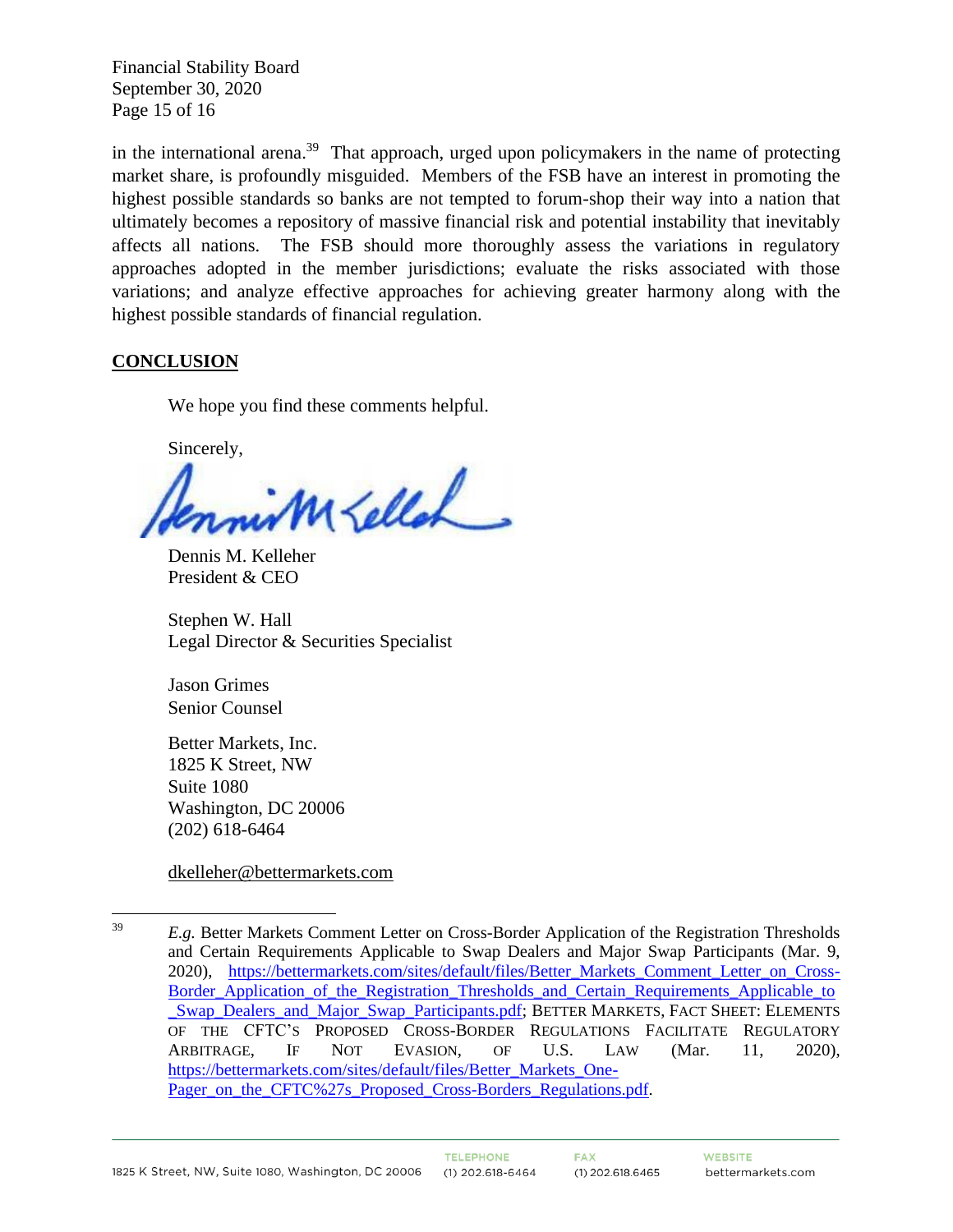Financial Stability Board September 30, 2020 Page 15 of 16

in the international arena.<sup>39</sup> That approach, urged upon policymakers in the name of protecting market share, is profoundly misguided. Members of the FSB have an interest in promoting the highest possible standards so banks are not tempted to forum-shop their way into a nation that ultimately becomes a repository of massive financial risk and potential instability that inevitably affects all nations. The FSB should more thoroughly assess the variations in regulatory approaches adopted in the member jurisdictions; evaluate the risks associated with those variations; and analyze effective approaches for achieving greater harmony along with the highest possible standards of financial regulation.

# **CONCLUSION**

We hope you find these comments helpful.

Sincerely,

MEllah

Dennis M. Kelleher President & CEO

Stephen W. Hall Legal Director & Securities Specialist

Jason Grimes Senior Counsel

Better Markets, Inc. 1825 K Street, NW Suite 1080 Washington, DC 20006 (202) 618-6464

[dkelleher@bettermarkets.com](mailto:dkelleher@bettermarkets.com%20%20shall@bettermarkets.com) 

<sup>&</sup>lt;sup>39</sup> *E.g.* Better Markets Comment Letter on Cross-Border Application of the Registration Thresholds and Certain Requirements Applicable to Swap Dealers and Major Swap Participants (Mar. 9, 2020), [https://bettermarkets.com/sites/default/files/Better\\_Markets\\_Comment\\_Letter\\_on\\_Cross-](https://bettermarkets.com/sites/default/files/Better_Markets_Comment_Letter_on_Cross-Border_Application_of_the_Registration_Thresholds_and_Certain_Requirements_Applicable_to_Swap_Dealers_and_Major_Swap_Participants.pdf)[Border\\_Application\\_of\\_the\\_Registration\\_Thresholds\\_and\\_Certain\\_Requirements\\_Applicable\\_to](https://bettermarkets.com/sites/default/files/Better_Markets_Comment_Letter_on_Cross-Border_Application_of_the_Registration_Thresholds_and_Certain_Requirements_Applicable_to_Swap_Dealers_and_Major_Swap_Participants.pdf) [\\_Swap\\_Dealers\\_and\\_Major\\_Swap\\_Participants.pdf;](https://bettermarkets.com/sites/default/files/Better_Markets_Comment_Letter_on_Cross-Border_Application_of_the_Registration_Thresholds_and_Certain_Requirements_Applicable_to_Swap_Dealers_and_Major_Swap_Participants.pdf) BETTER MARKETS, FACT SHEET: ELEMENTS OF THE CFTC'S PROPOSED CROSS-BORDER REGULATIONS FACILITATE REGULATORY ARBITRAGE, IF NOT EVASION, OF U.S. LAW (Mar. 11, 2020), [https://bettermarkets.com/sites/default/files/Better\\_Markets\\_One-](https://bettermarkets.com/sites/default/files/Better_Markets_One-Pager_on_the_CFTC%27s_Proposed_Cross-Borders_Regulations.pdf)[Pager\\_on\\_the\\_CFTC%27s\\_Proposed\\_Cross-Borders\\_Regulations.pdf.](https://bettermarkets.com/sites/default/files/Better_Markets_One-Pager_on_the_CFTC%27s_Proposed_Cross-Borders_Regulations.pdf)